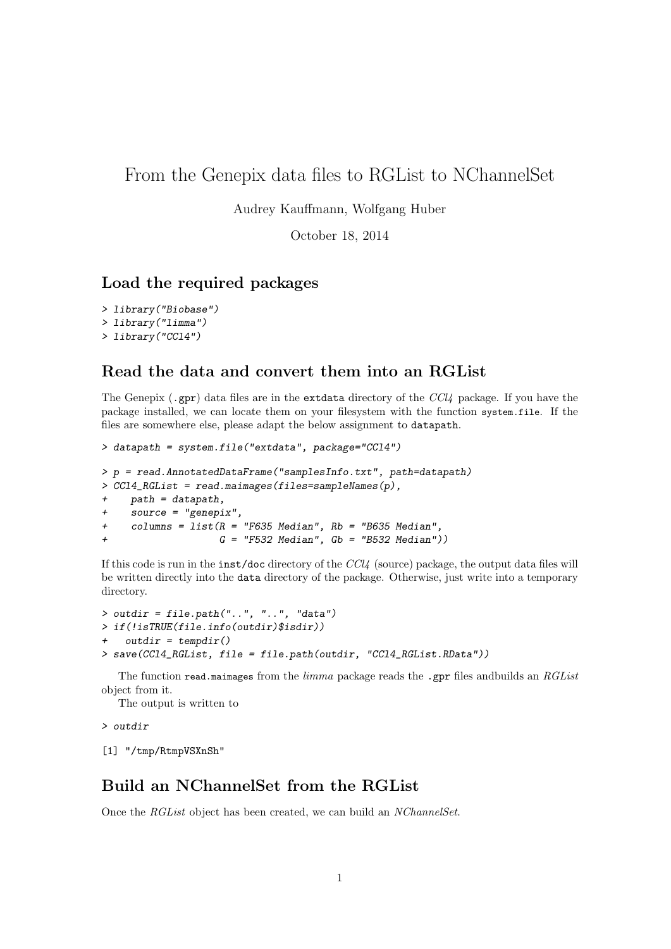## From the Genepix data files to RGList to NChannelSet

Audrey Kauffmann, Wolfgang Huber

October 18, 2014

## Load the required packages

```
> library("Biobase")
> library("limma")
> library("CCl4")
```
## Read the data and convert them into an RGList

The Genepix (.gpr) data files are in the extdata directory of the  $\text{CC}l4$  package. If you have the package installed, we can locate them on your filesystem with the function system.file. If the files are somewhere else, please adapt the below assignment to datapath.

```
> datapath = system.file("extdata", package="CCl4")
> p = read.AnnotatedDataFrame("samplesInfo.txt", path=datapath)
> CCl4_RGList = read.maimages(files=sampleNames(p),
+ path = datapath,
+ source = "genepix",
+ columns = list(R = "F635 Median", Rb = "B635 Median",
                   G = "F532 Median", Gb = "B532 Median")
```
If this code is run in the inst/doc directory of the CCl4 (source) package, the output data files will be written directly into the data directory of the package. Otherwise, just write into a temporary directory.

```
> outdir = file.path("..", "..", "data")
> if(!isTRUE(file.info(outdir)$isdir))
+ outdir = tempdir()
> save(CCl4_RGList, file = file.path(outdir, "CCl4_RGList.RData"))
```
The function read.maimages from the *limma* package reads the .gpr files and builds an  $RGList$ object from it.

The output is written to

> outdir

[1] "/tmp/RtmpVSXnSh"

## Build an NChannelSet from the RGList

Once the RGList object has been created, we can build an NChannelSet.